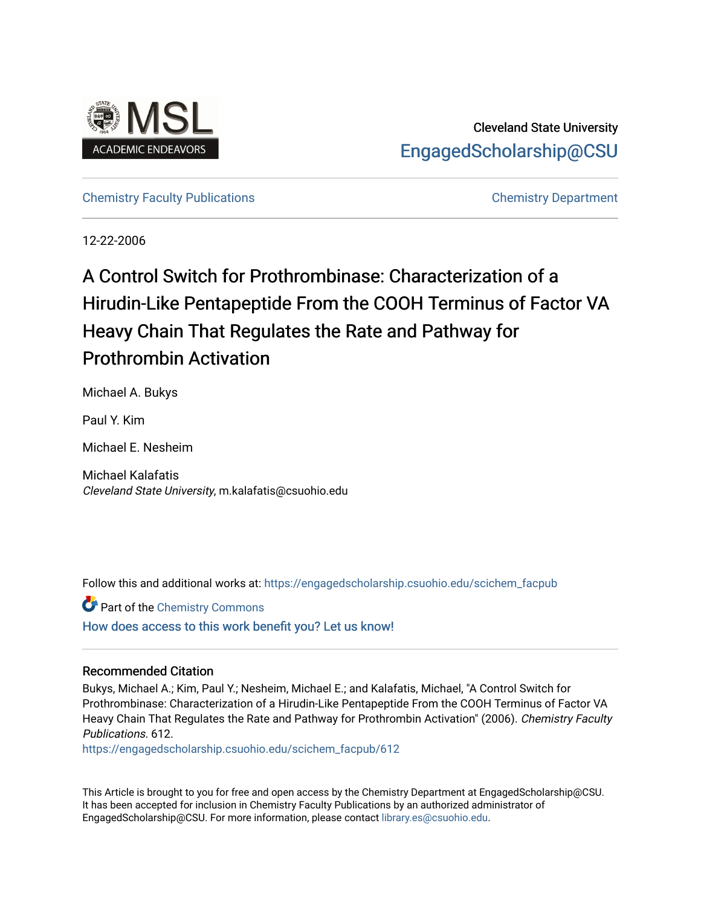

Cleveland State University [EngagedScholarship@CSU](https://engagedscholarship.csuohio.edu/) 

## [Chemistry Faculty Publications](https://engagedscholarship.csuohio.edu/scichem_facpub) [Chemistry Department](https://engagedscholarship.csuohio.edu/scichem)

12-22-2006

# A Control Switch for Prothrombinase: Characterization of a Hirudin-Like Pentapeptide From the COOH Terminus of Factor VA Heavy Chain That Regulates the Rate and Pathway for Prothrombin Activation

Michael A. Bukys

Paul Y. Kim

Michael E. Nesheim

Michael Kalafatis Cleveland State University, m.kalafatis@csuohio.edu

Follow this and additional works at: [https://engagedscholarship.csuohio.edu/scichem\\_facpub](https://engagedscholarship.csuohio.edu/scichem_facpub?utm_source=engagedscholarship.csuohio.edu%2Fscichem_facpub%2F612&utm_medium=PDF&utm_campaign=PDFCoverPages)

**C** Part of the Chemistry Commons [How does access to this work benefit you? Let us know!](http://library.csuohio.edu/engaged/)

## Recommended Citation

Bukys, Michael A.; Kim, Paul Y.; Nesheim, Michael E.; and Kalafatis, Michael, "A Control Switch for Prothrombinase: Characterization of a Hirudin-Like Pentapeptide From the COOH Terminus of Factor VA Heavy Chain That Regulates the Rate and Pathway for Prothrombin Activation" (2006). Chemistry Faculty Publications. 612.

[https://engagedscholarship.csuohio.edu/scichem\\_facpub/612](https://engagedscholarship.csuohio.edu/scichem_facpub/612?utm_source=engagedscholarship.csuohio.edu%2Fscichem_facpub%2F612&utm_medium=PDF&utm_campaign=PDFCoverPages)

This Article is brought to you for free and open access by the Chemistry Department at EngagedScholarship@CSU. It has been accepted for inclusion in Chemistry Faculty Publications by an authorized administrator of EngagedScholarship@CSU. For more information, please contact [library.es@csuohio.edu](mailto:library.es@csuohio.edu).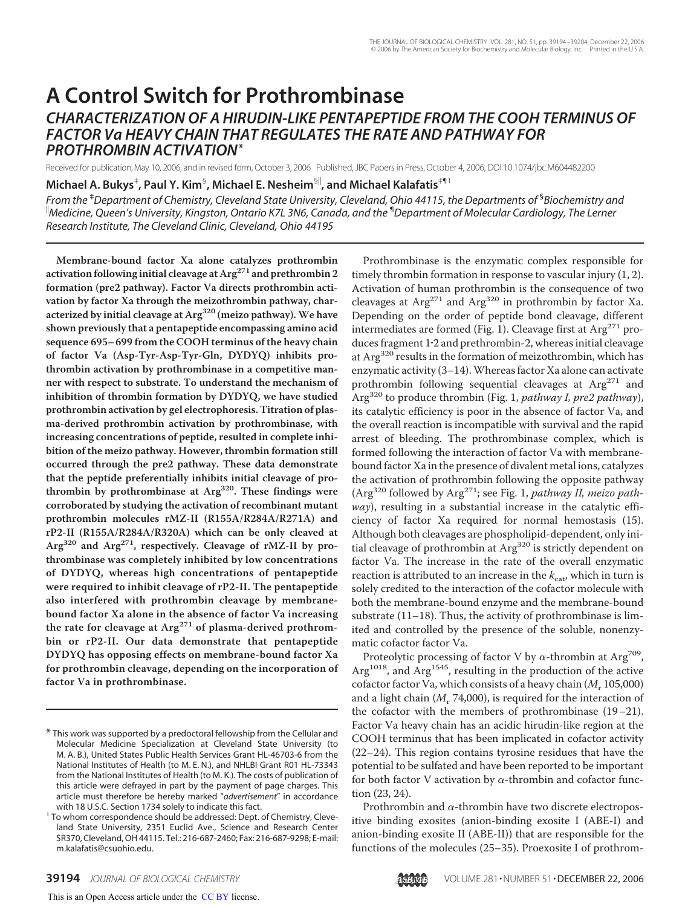## **A Control Switch for Prothrombinase** *CHARACTERIZATION OF A HIRUDIN-LIKE PENTAPEPTIDE FROM THE COOH TERMINUS OF FACTOR Va HEAVY CHAIN THAT REGULATES THE RATE AND PATHWAY FOR PROTHROMBIN ACTIVATION***\***

Received for publication, May 10, 2006, and in revised form, October 3, 2006 Published, JBC Papers in Press, October 4, 2006, DOI 10.1074/jbc.M604482200

 $\mathsf{Michael}\ \mathsf{A}.\ \mathsf{Bukys}^\ddag$ , Paul Y. Kim ${}^{\mathsf{S}}$ , Michael E. Nesheim ${}^{\mathsf{S}\parallel}$ , and Michael Kalafatis ${}^{\mathsf{S}\parallel +}$ 

*From the* ‡ *Department of Chemistry, Cleveland State University, Cleveland, Ohio 44115, the Departments of* § *Biochemistry and Medicine, Queen's University, Kingston, Ontario K7L 3N6, Canada, and the* ¶ *Department of Molecular Cardiology, The Lerner Research Institute, The Cleveland Clinic, Cleveland, Ohio 44195*

**Membrane-bound factor Xa alone catalyzes prothrombin activation following initial cleavage at Arg<sup>271</sup> and prethrombin 2 formation (pre2 pathway). Factor Va directs prothrombin activation by factor Xa through the meizothrombin pathway, characterized by initial cleavage at Arg<sup>320</sup> (meizo pathway). We have shown previously that a pentapeptide encompassing amino acid sequence 695– 699 from the COOH terminus of the heavy chain of factor Va (Asp-Tyr-Asp-Tyr-Gln, DYDYQ) inhibits prothrombin activation by prothrombinase in a competitive manner with respect to substrate. To understand the mechanism of inhibition of thrombin formation by DYDYQ, we have studied prothrombin activation by gel electrophoresis. Titration of plasma-derived prothrombin activation by prothrombinase, with increasing concentrations of peptide, resulted in complete inhibition of the meizo pathway. However, thrombin formation still occurred through the pre2 pathway. These data demonstrate that the peptide preferentially inhibits initial cleavage of prothrombin by prothrombinase at Arg320. These findings were corroborated by studying the activation of recombinant mutant prothrombin molecules rMZ-II (R155A/R284A/R271A) and rP2-II (R155A/R284A/R320A) which can be only cleaved at Arg<sup>320</sup> and Arg271, respectively. Cleavage of rMZ-II by prothrombinase was completely inhibited by low concentrations of DYDYQ, whereas high concentrations of pentapeptide were required to inhibit cleavage of rP2-II. The pentapeptide also interfered with prothrombin cleavage by membranebound factor Xa alone in the absence of factor Va increasing the rate for cleavage at Arg<sup>271</sup> of plasma-derived prothrombin or rP2-II. Our data demonstrate that pentapeptide DYDYQ has opposing effects on membrane-bound factor Xa for prothrombin cleavage, depending on the incorporation of factor Va in prothrombinase.**

Prothrombinase is the enzymatic complex responsible for timely thrombin formation in response to vascular injury (1, 2). Activation of human prothrombin is the consequence of two cleavages at  $Arg^{271}$  and  $Arg^{320}$  in prothrombin by factor Xa. Depending on the order of peptide bond cleavage, different intermediates are formed (Fig. 1). Cleavage first at  $Arg<sup>271</sup>$  produces fragment 12 and prethrombin-2, whereas initial cleavage at Arg<sup>320</sup> results in the formation of meizothrombin, which has enzymatic activity (3–14).Whereas factor Xa alone can activate prothrombin following sequential cleavages at  $Arg^{271}$  and Arg320 to produce thrombin (Fig. 1, *pathway I, pre2 pathway*), its catalytic efficiency is poor in the absence of factor Va, and the overall reaction is incompatible with survival and the rapid arrest of bleeding. The prothrombinase complex, which is formed following the interaction of factor Va with membranebound factor Xa in the presence of divalent metal ions, catalyzes the activation of prothrombin following the opposite pathway (Arg320 followed by Arg271; see Fig. 1, *pathway II, meizo pathway*), resulting in a substantial increase in the catalytic efficiency of factor Xa required for normal hemostasis (15). Although both cleavages are phospholipid-dependent, only initial cleavage of prothrombin at Arg<sup>320</sup> is strictly dependent on factor Va. The increase in the rate of the overall enzymatic reaction is attributed to an increase in the  $k_{\text{cat}}$ , which in turn is solely credited to the interaction of the cofactor molecule with both the membrane-bound enzyme and the membrane-bound substrate (11–18). Thus, the activity of prothrombinase is limited and controlled by the presence of the soluble, nonenzymatic cofactor factor Va.

Proteolytic processing of factor V by  $\alpha$ -thrombin at Arg<sup>709</sup>, Arg<sup>1018</sup>, and Arg<sup>1545</sup>, resulting in the production of the active cofactor factor Va, which consists of a heavy chain ( $M_r$  105,000) and a light chain (M<sub>r</sub> 74,000), is required for the interaction of the cofactor with the members of prothrombinase (19–21). Factor Va heavy chain has an acidic hirudin-like region at the COOH terminus that has been implicated in cofactor activity (22–24). This region contains tyrosine residues that have the potential to be sulfated and have been reported to be important for both factor V activation by  $\alpha$ -thrombin and cofactor function (23, 24).

Prothrombin and  $\alpha$ -thrombin have two discrete electropositive binding exosites (anion-binding exosite I (ABE-I) and anion-binding exosite II (ABE-II)) that are responsible for the functions of the molecules (25–35). Proexosite I of prothrom-



<sup>\*</sup> This work was supported by a predoctoral fellowship from the Cellular and Molecular Medicine Specialization at Cleveland State University (to M. A. B.), United States Public Health Services Grant HL-46703-6 from the National Institutes of Health (to M. E. N.), and NHLBI Grant R01 HL-73343 from the National Institutes of Health (to M. K.). The costs of publication of this article were defrayed in part by the payment of page charges. This article must therefore be hereby marked "*advertisement*" in accordance

<sup>&</sup>lt;sup>1</sup> To whom correspondence should be addressed: Dept. of Chemistry, Cleveland State University, 2351 Euclid Ave., Science and Research Center SR370, Cleveland, OH 44115. Tel.: 216-687-2460; Fax: 216-687-9298; E-mail: m.kalafatis@csuohio.edu.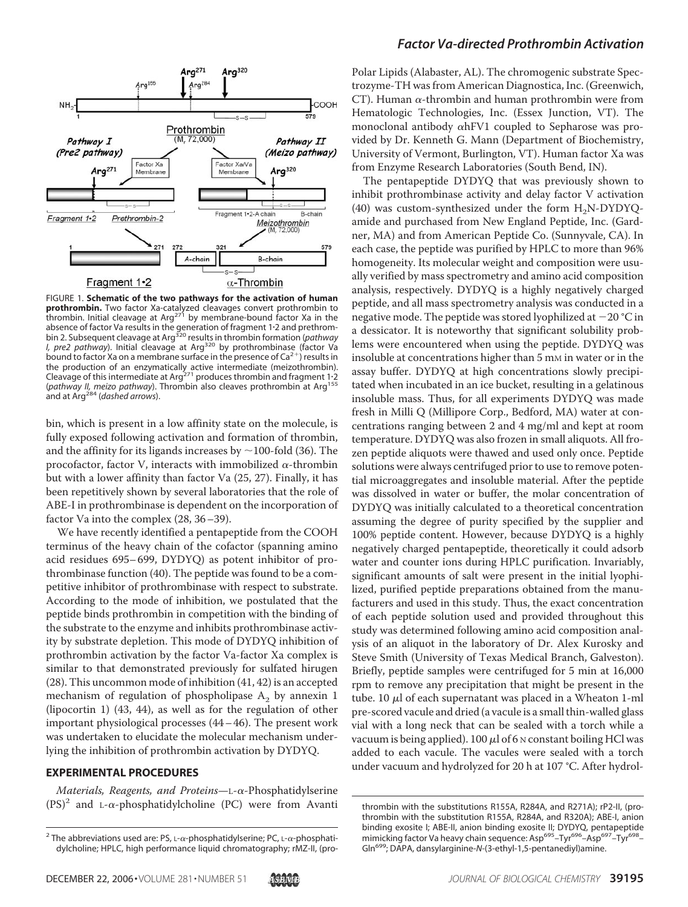

FIGURE 1. **Schematic of the two pathways for the activation of human prothrombin.** Two factor Xa-catalyzed cleavages convert prothrombin to<br>thrombin. Initial cleavage at Arg<sup>271</sup> by membrane-bound factor Xa in the absence of factor Va results in the generation of fragment 1·2 and prethrom-<br>bin 2. Subsequent cleavage at Arg<sup>320</sup> results in thrombin formation (*pathway I, pre2 pathway*). Initial cleavage at Arg<sup>320</sup> by prothrombinase (factor Va bound to factor Xa on a membrane surface in the presence of  $Ca^{2+}$ ) results in the production of an enzymatically active intermediate (meizothrombin).<br>Cleavage of this intermediate at Arg<sup>271</sup> produces thrombin and fragment 1·2 (*pathway II, meizo pathway*). Thrombin also cleaves prothrombin at Arg<sup>155</sup> and at Arg284 (*dashed arrows*).

bin, which is present in a low affinity state on the molecule, is fully exposed following activation and formation of thrombin, and the affinity for its ligands increases by  $\sim$  100-fold (36). The procofactor, factor V, interacts with immobilized  $\alpha$ -thrombin but with a lower affinity than factor Va (25, 27). Finally, it has been repetitively shown by several laboratories that the role of ABE-I in prothrombinase is dependent on the incorporation of factor Va into the complex (28, 36–39).

We have recently identified a pentapeptide from the COOH terminus of the heavy chain of the cofactor (spanning amino acid residues 695– 699, DYDYQ) as potent inhibitor of prothrombinase function (40). The peptide was found to be a competitive inhibitor of prothrombinase with respect to substrate. According to the mode of inhibition, we postulated that the peptide binds prothrombin in competition with the binding of the substrate to the enzyme and inhibits prothrombinase activity by substrate depletion. This mode of DYDYQ inhibition of prothrombin activation by the factor Va-factor Xa complex is similar to that demonstrated previously for sulfated hirugen (28). This uncommon mode of inhibition (41, 42) is an accepted mechanism of regulation of phospholipase  $A_2$  by annexin 1 (lipocortin 1) (43, 44), as well as for the regulation of other important physiological processes (44– 46). The present work was undertaken to elucidate the molecular mechanism underlying the inhibition of prothrombin activation by DYDYQ.

#### **EXPERIMENTAL PROCEDURES**

*Materials, Reagents, and Proteins*—L-α-Phosphatidylserine  $(PS)^2$  and L- $\alpha$ -phosphatidylcholine (PC) were from Avanti



#### *Factor Va-directed Prothrombin Activation*

Polar Lipids (Alabaster, AL). The chromogenic substrate Spectrozyme-TH was from American Diagnostica, Inc. (Greenwich, CT). Human  $\alpha$ -thrombin and human prothrombin were from Hematologic Technologies, Inc. (Essex Junction, VT). The monoclonal antibody  $\alpha$ hFV1 coupled to Sepharose was provided by Dr. Kenneth G. Mann (Department of Biochemistry, University of Vermont, Burlington, VT). Human factor Xa was from Enzyme Research Laboratories (South Bend, IN).

The pentapeptide DYDYQ that was previously shown to inhibit prothrombinase activity and delay factor V activation (40) was custom-synthesized under the form  $H_2N-DYDYQ$ amide and purchased from New England Peptide, Inc. (Gardner, MA) and from American Peptide Co. (Sunnyvale, CA). In each case, the peptide was purified by HPLC to more than 96% homogeneity. Its molecular weight and composition were usually verified by mass spectrometry and amino acid composition analysis, respectively. DYDYQ is a highly negatively charged peptide, and all mass spectrometry analysis was conducted in a negative mode. The peptide was stored lyophilized at  $-20\ {\rm ^oC}$  in a dessicator. It is noteworthy that significant solubility problems were encountered when using the peptide. DYDYQ was insoluble at concentrations higher than 5 mm in water or in the assay buffer. DYDYQ at high concentrations slowly precipitated when incubated in an ice bucket, resulting in a gelatinous insoluble mass. Thus, for all experiments DYDYQ was made fresh in Milli Q (Millipore Corp., Bedford, MA) water at concentrations ranging between 2 and 4 mg/ml and kept at room temperature. DYDYQ was also frozen in small aliquots. All frozen peptide aliquots were thawed and used only once. Peptide solutions were always centrifuged prior to use to remove potential microaggregates and insoluble material. After the peptide was dissolved in water or buffer, the molar concentration of DYDYQ was initially calculated to a theoretical concentration assuming the degree of purity specified by the supplier and 100% peptide content. However, because DYDYQ is a highly negatively charged pentapeptide, theoretically it could adsorb water and counter ions during HPLC purification. Invariably, significant amounts of salt were present in the initial lyophilized, purified peptide preparations obtained from the manufacturers and used in this study. Thus, the exact concentration of each peptide solution used and provided throughout this study was determined following amino acid composition analysis of an aliquot in the laboratory of Dr. Alex Kurosky and Steve Smith (University of Texas Medical Branch, Galveston). Briefly, peptide samples were centrifuged for 5 min at 16,000 rpm to remove any precipitation that might be present in the tube. 10  $\mu$ l of each supernatant was placed in a Wheaton 1-ml pre-scored vacule and dried (a vacule is a small thin-walled glass vial with a long neck that can be sealed with a torch while a vacuum is being applied). 100  $\mu$ l of 6 <code>N</code> constant boiling HCl was added to each vacule. The vacules were sealed with a torch under vacuum and hydrolyzed for 20 h at 107 °C. After hydrol-

<sup>&</sup>lt;sup>2</sup> The abbreviations used are: PS, L- $\alpha$ -phosphatidylserine; PC, L- $\alpha$ -phosphatidylcholine; HPLC, high performance liquid chromatography; rMZ-II, (pro-

thrombin with the substitutions R155A, R284A, and R271A); rP2-II, (prothrombin with the substitution R155A, R284A, and R320A); ABE-I, anion binding exosite I; ABE-II, anion binding exosite II; DYDYQ, pentapeptide mimicking factor Va heavy chain sequence: Asp<sup>695</sup>-Tyr<sup>696</sup>-Asp<sup>697</sup>-Tyr<sup>698</sup>-Gln699; DAPA, dansylarginine-*N*-(3-ethyl-1,5-pentanediyl)amine.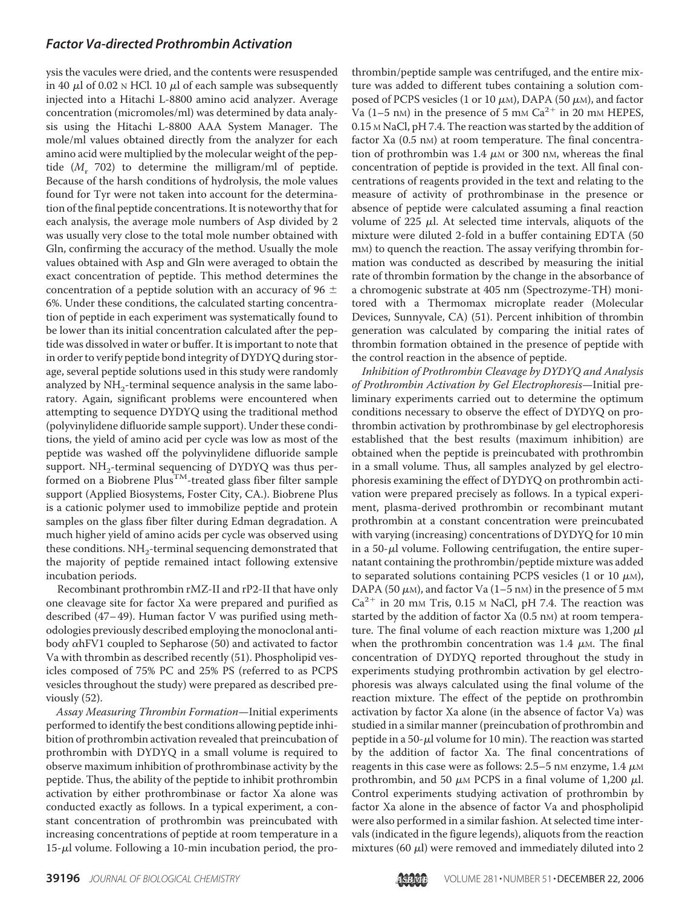ysis the vacules were dried, and the contents were resuspended in 40  $\mu$ l of 0.02  $\scriptstyle\rm N$  HCl. 10  $\mu$ l of each sample was subsequently injected into a Hitachi L-8800 amino acid analyzer. Average concentration (micromoles/ml) was determined by data analysis using the Hitachi L-8800 AAA System Manager. The mole/ml values obtained directly from the analyzer for each amino acid were multiplied by the molecular weight of the peptide  $(M_r 702)$  to determine the milligram/ml of peptide. Because of the harsh conditions of hydrolysis, the mole values found for Tyr were not taken into account for the determination of the final peptide concentrations. It is noteworthy that for each analysis, the average mole numbers of Asp divided by 2 was usually very close to the total mole number obtained with Gln, confirming the accuracy of the method. Usually the mole values obtained with Asp and Gln were averaged to obtain the exact concentration of peptide. This method determines the concentration of a peptide solution with an accuracy of 96  $\pm$ 6%. Under these conditions, the calculated starting concentration of peptide in each experiment was systematically found to be lower than its initial concentration calculated after the peptide was dissolved in water or buffer. It is important to note that in order to verify peptide bond integrity of DYDYQ during storage, several peptide solutions used in this study were randomly analyzed by  $NH<sub>2</sub>$ -terminal sequence analysis in the same laboratory. Again, significant problems were encountered when attempting to sequence DYDYQ using the traditional method (polyvinylidene difluoride sample support). Under these conditions, the yield of amino acid per cycle was low as most of the peptide was washed off the polyvinylidene difluoride sample support.  $NH_2$ -terminal sequencing of DYDYQ was thus performed on a Biobrene  $Plus^{TM}$ -treated glass fiber filter sample support (Applied Biosystems, Foster City, CA.). Biobrene Plus is a cationic polymer used to immobilize peptide and protein samples on the glass fiber filter during Edman degradation. A much higher yield of amino acids per cycle was observed using these conditions.  $NH<sub>2</sub>$ -terminal sequencing demonstrated that the majority of peptide remained intact following extensive incubation periods.

Recombinant prothrombin rMZ-II and rP2-II that have only one cleavage site for factor Xa were prepared and purified as described (47– 49). Human factor V was purified using methodologies previously described employing the monoclonal antibody  $\alpha$ hFV1 coupled to Sepharose (50) and activated to factor Va with thrombin as described recently (51). Phospholipid vesicles composed of 75% PC and 25% PS (referred to as PCPS vesicles throughout the study) were prepared as described previously (52).

*Assay Measuring Thrombin Formation*—Initial experiments performed to identify the best conditions allowing peptide inhibition of prothrombin activation revealed that preincubation of prothrombin with DYDYQ in a small volume is required to observe maximum inhibition of prothrombinase activity by the peptide. Thus, the ability of the peptide to inhibit prothrombin activation by either prothrombinase or factor Xa alone was conducted exactly as follows. In a typical experiment, a constant concentration of prothrombin was preincubated with increasing concentrations of peptide at room temperature in a  $15$ - $\mu$ l volume. Following a 10-min incubation period, the prothrombin/peptide sample was centrifuged, and the entire mixture was added to different tubes containing a solution composed of PCPS vesicles (1 or 10  $\mu$ м), DAPA (50  $\mu$ м), and factor Va (1–5 nm) in the presence of 5 mm  $Ca^{2+}$  in 20 mm HEPES, 0.15 M NaCl, pH 7.4. The reaction was started by the addition of factor Xa (0.5 nm) at room temperature. The final concentration of prothrombin was  $1.4 \mu$ M or 300 nM, whereas the final concentration of peptide is provided in the text. All final concentrations of reagents provided in the text and relating to the measure of activity of prothrombinase in the presence or absence of peptide were calculated assuming a final reaction volume of 225  $\mu$ l. At selected time intervals, aliquots of the mixture were diluted 2-fold in a buffer containing EDTA (50 m<sub>M</sub>) to quench the reaction. The assay verifying thrombin formation was conducted as described by measuring the initial rate of thrombin formation by the change in the absorbance of a chromogenic substrate at 405 nm (Spectrozyme-TH) monitored with a Thermomax microplate reader (Molecular Devices, Sunnyvale, CA) (51). Percent inhibition of thrombin generation was calculated by comparing the initial rates of thrombin formation obtained in the presence of peptide with the control reaction in the absence of peptide.

*Inhibition of Prothrombin Cleavage by DYDYQ and Analysis of Prothrombin Activation by Gel Electrophoresis*—Initial preliminary experiments carried out to determine the optimum conditions necessary to observe the effect of DYDYQ on prothrombin activation by prothrombinase by gel electrophoresis established that the best results (maximum inhibition) are obtained when the peptide is preincubated with prothrombin in a small volume. Thus, all samples analyzed by gel electrophoresis examining the effect of DYDYQ on prothrombin activation were prepared precisely as follows. In a typical experiment, plasma-derived prothrombin or recombinant mutant prothrombin at a constant concentration were preincubated with varying (increasing) concentrations of DYDYQ for 10 min in a 50- $\mu$ l volume. Following centrifugation, the entire supernatant containing the prothrombin/peptide mixture was added to separated solutions containing PCPS vesicles (1 or 10  $\mu$ M), DAPA (50  $\mu$ m), and factor Va (1–5 nm) in the presence of 5 mm  $Ca^{2+}$  in 20 mm Tris, 0.15 m NaCl, pH 7.4. The reaction was started by the addition of factor Xa (0.5 nm) at room temperature. The final volume of each reaction mixture was 1,200  $\mu$ l when the prothrombin concentration was  $1.4 \mu$ M. The final concentration of DYDYQ reported throughout the study in experiments studying prothrombin activation by gel electrophoresis was always calculated using the final volume of the reaction mixture. The effect of the peptide on prothrombin activation by factor Xa alone (in the absence of factor Va) was studied in a similar manner (preincubation of prothrombin and peptide in a 50- $\mu$ l volume for 10 min). The reaction was started by the addition of factor Xa. The final concentrations of reagents in this case were as follows: 2.5–5 nm enzyme, 1.4  $\mu$ m prothrombin, and 50  $\mu$ M PCPS in a final volume of 1,200  $\mu$ l. Control experiments studying activation of prothrombin by factor Xa alone in the absence of factor Va and phospholipid were also performed in a similar fashion. At selected time intervals (indicated in the figure legends), aliquots from the reaction mixtures (60  $\mu$ l) were removed and immediately diluted into 2

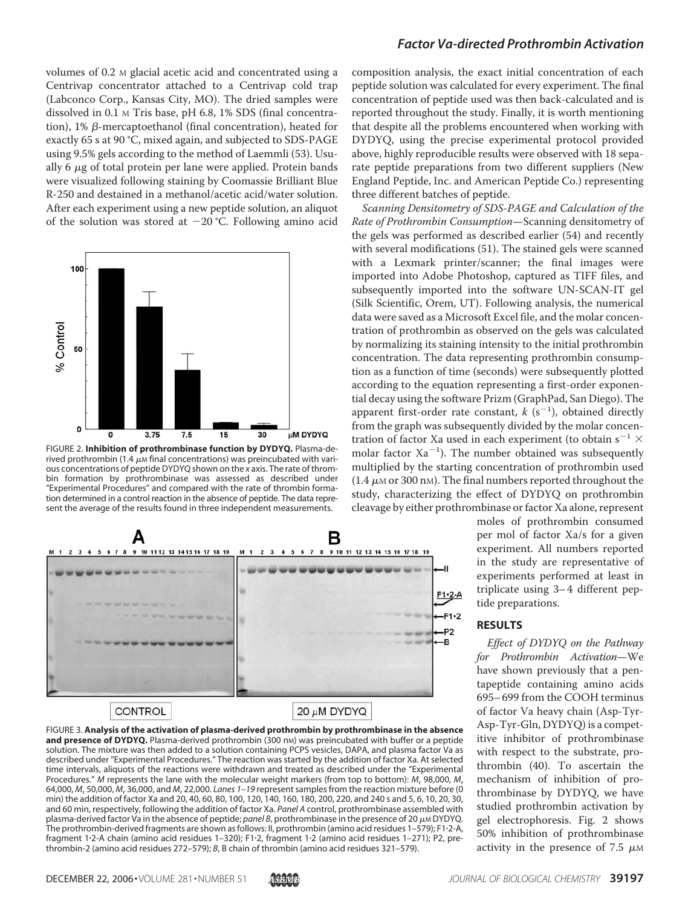volumes of 0.2 M glacial acetic acid and concentrated using a Centrivap concentrator attached to a Centrivap cold trap (Labconco Corp., Kansas City, MO). The dried samples were dissolved in 0.1 M Tris base, pH 6.8, 1% SDS (final concentration),  $1\%$   $\beta$ -mercaptoethanol (final concentration), heated for exactly 65 s at 90 °C, mixed again, and subjected to SDS-PAGE using 9.5% gels according to the method of Laemmli (53). Usually 6  $\mu$ g of total protein per lane were applied. Protein bands were visualized following staining by Coomassie Brilliant Blue R-250 and destained in a methanol/acetic acid/water solution. After each experiment using a new peptide solution, an aliquot of the solution was stored at  $-20$  °C. Following amino acid



FIGURE 2. **Inhibition of prothrombinase function by DYDYQ.** Plasma-derived prothrombin (1.4  $\mu$ m final concentrations) was preincubated with various concentrations of peptide DYDYQ shown on the *x* axis. The rate of thrombin formation by prothrombinase was assessed as described under "Experimental Procedures" and compared with the rate of thrombin formation determined in a control reaction in the absence of peptide. The data represent the average of the results found in three independent measurements.



## **CONTROL**

FIGURE 3. **Analysis of the activation of plasma-derived prothrombin by prothrombinase in the absence** and presence of DYDYQ. Plasma-derived prothrombin (300 nm) was preincubated with buffer or a peptide solution. The mixture was then added to a solution containing PCPS vesicles, DAPA, and plasma factor Va as described under "Experimental Procedures." The reaction was started by the addition of factor Xa. At selected time intervals, aliquots of the reactions were withdrawn and treated as described under the "Experimental Procedures." *M* represents the lane with the molecular weight markers (from top to bottom): *M*<sup>r</sup> 98,000, *M*<sup>r</sup> 64,000, *M*<sup>r</sup> 50,000, *M*<sup>r</sup> 36,000, and *M*<sup>r</sup> 22,000. *Lanes 1–19* represent samples from the reaction mixture before (0 min) the addition of factor Xa and 20, 40, 60, 80, 100, 120, 140, 160, 180, 200, 220, and 240 s and 5, 6, 10, 20, 30, and 60 min, respectively, following the addition of factor Xa. *Panel A* control, prothrombinase assembled with plasma-derived factor Va in the absence of peptide; *panel B*, prothrombinase in the presence of 20  $\mu$ M DYDYQ. The prothrombin-derived fragments are shown as follows: II, prothrombin (amino acid residues 1–579); F12-A, fragment 12-A chain (amino acid residues 1–320); F12, fragment 12 (amino acid residues 1–271); P2, prethrombin-2 (amino acid residues 272–579); *B*, B chain of thrombin (amino acid residues 321–579).

#### *Factor Va-directed Prothrombin Activation*

composition analysis, the exact initial concentration of each peptide solution was calculated for every experiment. The final concentration of peptide used was then back-calculated and is reported throughout the study. Finally, it is worth mentioning that despite all the problems encountered when working with DYDYQ, using the precise experimental protocol provided above, highly reproducible results were observed with 18 separate peptide preparations from two different suppliers (New England Peptide, Inc. and American Peptide Co.) representing three different batches of peptide.

*Scanning Densitometry of SDS-PAGE and Calculation of the Rate of Prothrombin Consumption*—Scanning densitometry of the gels was performed as described earlier (54) and recently with several modifications (51). The stained gels were scanned with a Lexmark printer/scanner; the final images were imported into Adobe Photoshop, captured as TIFF files, and subsequently imported into the software UN-SCAN-IT gel (Silk Scientific, Orem, UT). Following analysis, the numerical data were saved as a Microsoft Excel file, and the molar concentration of prothrombin as observed on the gels was calculated by normalizing its staining intensity to the initial prothrombin concentration. The data representing prothrombin consumption as a function of time (seconds) were subsequently plotted according to the equation representing a first-order exponential decay using the software Prizm (GraphPad, San Diego). The apparent first-order rate constant,  $k$  ( $s^{-1}$ ), obtained directly from the graph was subsequently divided by the molar concentration of factor Xa used in each experiment (to obtain s $^{-1}$   $\times$ molar factor  $Xa^{-1}$ ). The number obtained was subsequently multiplied by the starting concentration of prothrombin used  $(1.4 \mu$ M or 300 nM). The final numbers reported throughout the study, characterizing the effect of DYDYQ on prothrombin cleavage by either prothrombinase or factor Xa alone, represent

> moles of prothrombin consumed per mol of factor Xa/s for a given experiment. All numbers reported in the study are representative of experiments performed at least in triplicate using 3– 4 different peptide preparations.

#### **RESULTS**

*Effect of DYDYQ on the Pathway for Prothrombin Activation*—We have shown previously that a pentapeptide containing amino acids 695– 699 from the COOH terminus of factor Va heavy chain (Asp-Tyr-Asp-Tyr-Gln, DYDYQ) is a competitive inhibitor of prothrombinase with respect to the substrate, prothrombin (40). To ascertain the mechanism of inhibition of prothrombinase by DYDYQ, we have studied prothrombin activation by gel electrophoresis. Fig. 2 shows 50% inhibition of prothrombinase activity in the presence of 7.5  $\mu$ M

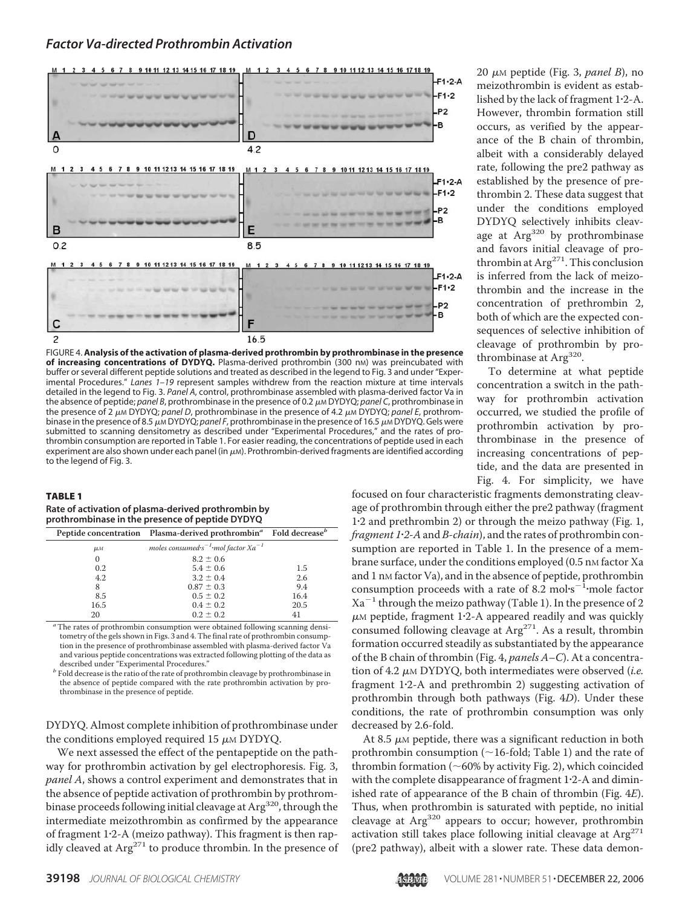

FIGURE 4. **Analysis of the activation of plasma-derived prothrombin by prothrombinase in the presence** of increasing concentrations of DYDYQ. Plasma-derived prothrombin (300 nm) was preincubated with buffer or several different peptide solutions and treated as described in the legend to Fig. 3 and under "Experimental Procedures." *Lanes 1–19* represent samples withdrew from the reaction mixture at time intervals detailed in the legend to Fig. 3. *Panel A*, control, prothrombinase assembled with plasma-derived factor Va in the absence of peptide; *panel B*, prothrombinase in the presence of 0.2  $\mu$ m DYDYQ; *panel C*, prothrombinase in the presence of 2 μ<sub>M</sub> DYDYQ; *panel D*, prothrombinase in the presence of 4.2 μM DYDYQ; *panel E*, prothrombinase in the presence of 8.5 μ<sub>M</sub> DYDYQ; *panel F*, prothrombinase in the presence of 16.5 μ<sub>M</sub> DYDYQ. Gels were submitted to scanning densitometry as described under "Experimental Procedures," and the rates of prothrombin consumption are reported in Table 1. For easier reading, the concentrations of peptide used in each experiment are also shown under each panel (in  $\mu$ m). Prothrombin-derived fragments are identified according to the legend of Fig. 3.

#### TABLE 1

#### **Rate of activation of plasma-derived prothrombin by prothrombinase in the presence of peptide DYDYQ**

|                    | Peptide concentration Plasma-derived prothrombin <sup>a</sup> Fold decrease <sup>b</sup> |      |  |  |  |
|--------------------|------------------------------------------------------------------------------------------|------|--|--|--|
| $\mu$ <sub>M</sub> | moles consumed $s^{-1}$ mol factor $Xa^{-1}$                                             |      |  |  |  |
| $\Omega$           | $8.2 \pm 0.6$                                                                            |      |  |  |  |
| 0.2                | $5.4 \pm 0.6$                                                                            | 1.5  |  |  |  |
| 4.2                | $3.2 \pm 0.4$                                                                            | 2.6  |  |  |  |
| 8                  | $0.87 \pm 0.3$                                                                           | 9.4  |  |  |  |
| 8.5                | $0.5 \pm 0.2$                                                                            | 16.4 |  |  |  |
| 16.5               | $0.4 \pm 0.2$                                                                            | 20.5 |  |  |  |
| 20                 | $0.2 \pm 0.2$                                                                            | 41   |  |  |  |

<sup>a</sup>The rates of prothrombin consumption were obtained following scanning densitometry of the gels shown in Figs. 3 and 4. The final rate of prothrombin consumption in the presence of prothrombinase assembled with plasma-derived factor Va and various peptide concentrations was extracted following plotting of the data as described under "Experimental Procedures."

 $\sp{b}$  Fold decrease is the ratio of the rate of prothrombin cleavage by prothrombinase in the absence of peptide compared with the rate prothrombin activation by prothrombinase in the presence of peptide.

DYDYQ. Almost complete inhibition of prothrombinase under the conditions employed required  $15 \mu$ M DYDYQ.

We next assessed the effect of the pentapeptide on the pathway for prothrombin activation by gel electrophoresis. Fig. 3, *panel A*, shows a control experiment and demonstrates that in the absence of peptide activation of prothrombin by prothrombinase proceeds following initial cleavage at Arg<sup>320</sup>, through the intermediate meizothrombin as confirmed by the appearance of fragment 12-A (meizo pathway). This fragment is then rapidly cleaved at  $Arg^{271}$  to produce thrombin. In the presence of

20  $\mu$ M peptide (Fig. 3, *panel B*), no meizothrombin is evident as established by the lack of fragment 12-A. However, thrombin formation still occurs, as verified by the appearance of the B chain of thrombin, albeit with a considerably delayed rate, following the pre2 pathway as established by the presence of prethrombin 2. These data suggest that under the conditions employed DYDYQ selectively inhibits cleavage at Arg<sup>320</sup> by prothrombinase and favors initial cleavage of prothrombin at  $Arg^{271}$ . This conclusion is inferred from the lack of meizothrombin and the increase in the concentration of prethrombin 2, both of which are the expected consequences of selective inhibition of cleavage of prothrombin by prothrombinase at Arg<sup>320</sup>.

To determine at what peptide concentration a switch in the pathway for prothrombin activation occurred, we studied the profile of prothrombin activation by prothrombinase in the presence of increasing concentrations of peptide, and the data are presented in Fig. 4. For simplicity, we have

focused on four characteristic fragments demonstrating cleavage of prothrombin through either the pre2 pathway (fragment 12 and prethrombin 2) or through the meizo pathway (Fig. 1, *fragment 12-A*and *B-chain*), and the rates of prothrombin consumption are reported in Table 1. In the presence of a membrane surface, under the conditions employed (0.5 nm factor Xa and 1 nm factor Va), and in the absence of peptide, prothrombin consumption proceeds with a rate of 8.2 mol $\cdot$ s<sup>-1</sup>·mole factor Xa<sup>-1</sup> through the meizo pathway (Table 1). In the presence of 2  $\mu$ м peptide, fragment 1·2-A appeared readily and was quickly consumed following cleavage at Arg<sup>271</sup>. As a result, thrombin formation occurred steadily as substantiated by the appearance of the B chain of thrombin (Fig. 4, *panels A–C*). At a concentration of 4.2  $\mu$ <sub>M</sub> DYDYQ, both intermediates were observed (*i.e.* fragment 12-A and prethrombin 2) suggesting activation of prothrombin through both pathways (Fig. 4*D*). Under these conditions, the rate of prothrombin consumption was only decreased by 2.6-fold.

At 8.5  $\mu$ M peptide, there was a significant reduction in both prothrombin consumption ( $\sim$ 16-fold; Table 1) and the rate of thrombin formation ( $\sim$  60% by activity Fig. 2), which coincided with the complete disappearance of fragment 1.2-A and diminished rate of appearance of the B chain of thrombin (Fig. 4*E*). Thus, when prothrombin is saturated with peptide, no initial cleavage at  $Arg<sup>320</sup>$  appears to occur; however, prothrombin activation still takes place following initial cleavage at  $Arg<sup>271</sup>$ (pre2 pathway), albeit with a slower rate. These data demon-

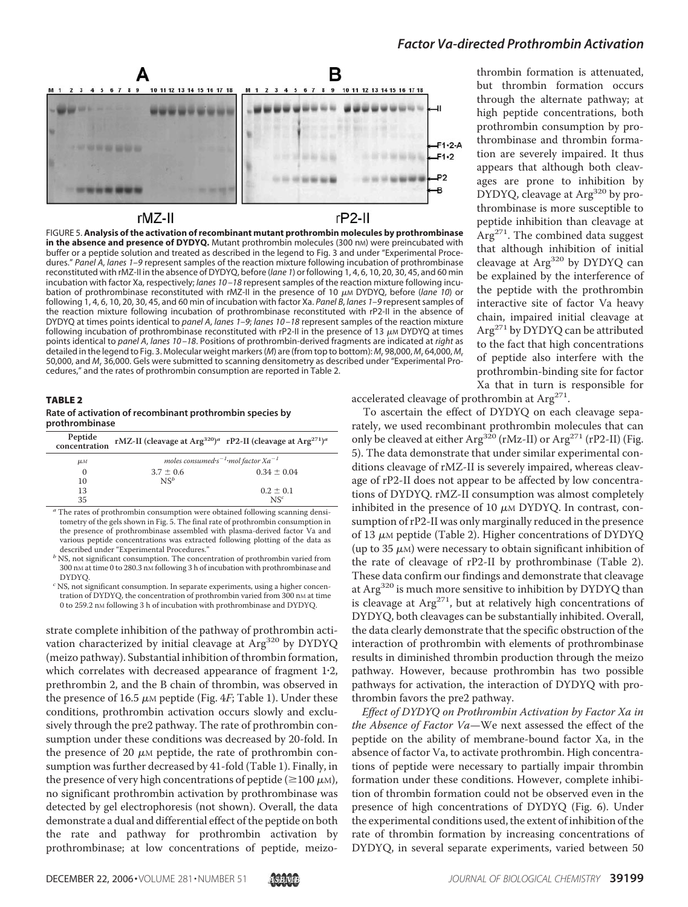

FIGURE 5. **Analysis of the activation of recombinant mutant prothrombin molecules by prothrombinase in the absence and presence of DYDYQ.** Mutant prothrombin molecules (300 nm) were preincubated with buffer or a peptide solution and treated as described in the legend to Fig. 3 and under "Experimental Procedures." *Panel A*, *lanes 1–9* represent samples of the reaction mixture following incubation of prothrombinase reconstituted with rMZ-II in the absence of DYDYQ, before (*lane 1*) or following 1, 4, 6, 10, 20, 30, 45, and 60 min incubation with factor Xa, respectively; *lanes 10 –18* represent samples of the reaction mixture following incubation of prothrombinase reconstituted with rMZ-II in the presence of 10 μ<sub>M</sub> DYDYQ, before (*lane 10*) or following 1, 4, 6, 10, 20, 30, 45, and 60 min of incubation with factor Xa. *Panel B*, *lanes 1–9* represent samples of the reaction mixture following incubation of prothrombinase reconstituted with rP2-II in the absence of DYDYQ at times points identical to *panel A*, *lanes 1–9*; *lanes 10 –18* represent samples of the reaction mixture following incubation of prothrombinase reconstituted with rP2-II in the presence of 13  $\mu$ m DYDYQ at times points identical to *panel A*, *lanes 10 –18*. Positions of prothrombin-derived fragments are indicated at *right* as detailed in the legend to Fig. 3. Molecular weight markers (*M*) are (from top to bottom): *M*<sup>r</sup> 98,000,*M*<sup>r</sup> 64,000,*M*<sup>r</sup> 50,000, and *M*<sup>r</sup> 36,000. Gels were submitted to scanning densitometry as described under "Experimental Procedures," and the rates of prothrombin consumption are reported in Table 2.

## TABLE 2 **Rate of activation of recombinant prothrombin species by**

**prothrombinase**

| Peptide<br>concentration | rMZ-II (cleavage at Arg <sup>320</sup> ) <sup>a</sup> rP2-II (cleavage at Arg <sup>271</sup> ) <sup>a</sup> |                 |  |
|--------------------------|-------------------------------------------------------------------------------------------------------------|-----------------|--|
| μм                       | moles consumed $s^{-1}$ mol factor $Xa^{-1}$                                                                |                 |  |
| $\Omega$                 | $3.7 \pm 0.6$                                                                                               | $0.34 + 0.04$   |  |
| 10                       | $NS^b$                                                                                                      |                 |  |
| 13                       |                                                                                                             | $0.2 \pm 0.1$   |  |
| 35                       |                                                                                                             | NS <sup>c</sup> |  |

*<sup>a</sup>* The rates of prothrombin consumption were obtained following scanning densitometry of the gels shown in Fig. 5. The final rate of prothrombin consumption in the presence of prothrombinase assembled with plasma-derived factor Va and various peptide concentrations was extracted following plotting of the data as

b NS, not significant consumption. The concentration of prothrombin varied from  $300$  nM at time 0 to  $280.3$  nM following 3 h of incubation with prothrombinase and DYDYO.

<sup>c</sup> NS, not significant consumption. In separate experiments, using a higher concentration of DYDYQ, the concentration of prothrombin varied from 300 nm at time 0 to 259.2 nm following 3 h of incubation with prothrombinase and DYDYQ.

strate complete inhibition of the pathway of prothrombin activation characterized by initial cleavage at Arg<sup>320</sup> by DYDYQ (meizo pathway). Substantial inhibition of thrombin formation, which correlates with decreased appearance of fragment  $1-2$ , prethrombin 2, and the B chain of thrombin, was observed in the presence of 16.5  $\mu$ м peptide (Fig. 4*F*; Table 1). Under these conditions, prothrombin activation occurs slowly and exclusively through the pre2 pathway. The rate of prothrombin consumption under these conditions was decreased by 20-fold. In the presence of 20  $\mu$ M peptide, the rate of prothrombin consumption was further decreased by 41-fold (Table 1). Finally, in the presence of very high concentrations of peptide ( $\geq$ 100  $\mu$ m), no significant prothrombin activation by prothrombinase was detected by gel electrophoresis (not shown). Overall, the data demonstrate a dual and differential effect of the peptide on both the rate and pathway for prothrombin activation by prothrombinase; at low concentrations of peptide, meizothrombin formation is attenuated, but thrombin formation occurs through the alternate pathway; at high peptide concentrations, both prothrombin consumption by prothrombinase and thrombin formation are severely impaired. It thus appears that although both cleavages are prone to inhibition by DYDYQ, cleavage at Arg<sup>320</sup> by prothrombinase is more susceptible to peptide inhibition than cleavage at  $Arg<sup>271</sup>$ . The combined data suggest that although inhibition of initial cleavage at Arg<sup>320</sup> by DYDYQ can be explained by the interference of the peptide with the prothrombin interactive site of factor Va heavy chain, impaired initial cleavage at Arg<sup>271</sup> by DYDYQ can be attributed to the fact that high concentrations of peptide also interfere with the prothrombin-binding site for factor Xa that in turn is responsible for

accelerated cleavage of prothrombin at Arg<sup>271</sup>.

To ascertain the effect of DYDYQ on each cleavage separately, we used recombinant prothrombin molecules that can only be cleaved at either Arg<sup>320</sup> (rMz-II) or Arg<sup>271</sup> (rP2-II) (Fig. 5). The data demonstrate that under similar experimental conditions cleavage of rMZ-II is severely impaired, whereas cleavage of rP2-II does not appear to be affected by low concentrations of DYDYQ. rMZ-II consumption was almost completely inhibited in the presence of  $10 \mu$ M DYDYQ. In contrast, consumption of rP2-II was only marginally reduced in the presence of 13  $\mu$ M peptide (Table 2). Higher concentrations of DYDYQ (up to 35  $\mu$ M) were necessary to obtain significant inhibition of the rate of cleavage of rP2-II by prothrombinase (Table 2). These data confirm our findings and demonstrate that cleavage at Arg<sup>320</sup> is much more sensitive to inhibition by DYDYO than is cleavage at  $Arg^{271}$ , but at relatively high concentrations of DYDYQ, both cleavages can be substantially inhibited. Overall, the data clearly demonstrate that the specific obstruction of the interaction of prothrombin with elements of prothrombinase results in diminished thrombin production through the meizo pathway. However, because prothrombin has two possible pathways for activation, the interaction of DYDYQ with prothrombin favors the pre2 pathway.

*Effect of DYDYQ on Prothrombin Activation by Factor Xa in the Absence of Factor Va*—We next assessed the effect of the peptide on the ability of membrane-bound factor Xa, in the absence of factor Va, to activate prothrombin. High concentrations of peptide were necessary to partially impair thrombin formation under these conditions. However, complete inhibition of thrombin formation could not be observed even in the presence of high concentrations of DYDYQ (Fig. 6). Under the experimental conditions used, the extent of inhibition of the rate of thrombin formation by increasing concentrations of DYDYQ, in several separate experiments, varied between 50

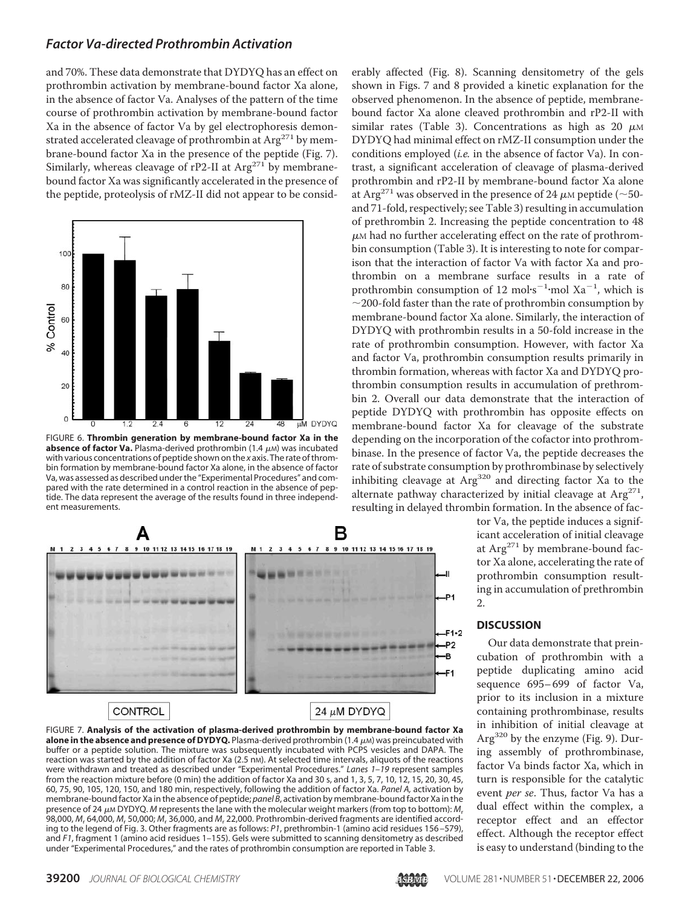and 70%. These data demonstrate that DYDYQ has an effect on prothrombin activation by membrane-bound factor Xa alone, in the absence of factor Va. Analyses of the pattern of the time course of prothrombin activation by membrane-bound factor Xa in the absence of factor Va by gel electrophoresis demonstrated accelerated cleavage of prothrombin at  $Arg<sup>271</sup>$  by membrane-bound factor Xa in the presence of the peptide (Fig. 7). Similarly, whereas cleavage of rP2-II at  $Arg<sup>271</sup>$  by membranebound factor Xa was significantly accelerated in the presence of the peptide, proteolysis of rMZ-II did not appear to be consid-



FIGURE 6. **Thrombin generation by membrane-bound factor Xa in the absence of factor Va.** Plasma-derived prothrombin  $(1.4 \mu)$  was incubated with various concentrations of peptide shown on the *x* axis. The rate of thrombin formation by membrane-bound factor Xa alone, in the absence of factor Va, was assessed as described under the "Experimental Procedures" and compared with the rate determined in a control reaction in the absence of peptide. The data represent the average of the results found in three independent measurements.



#### FIGURE 7. **Analysis of the activation of plasma-derived prothrombin by membrane-bound factor Xa alone in the absence and presence of DYDYQ.** Plasma-derived prothrombin (1.4 μM) was preincubated with buffer or a peptide solution. The mixture was subsequently incubated with PCPS vesicles and DAPA. The reaction was started by the addition of factor Xa (2.5 nM). At selected time intervals, aliquots of the reactions were withdrawn and treated as described under "Experimental Procedures." *Lanes 1–19* represent samples from the reaction mixture before (0 min) the addition of factor Xa and 30 s, and 1, 3, 5, 7, 10, 12, 15, 20, 30, 45, 60, 75, 90, 105, 120, 150, and 180 min, respectively, following the addition of factor Xa. *Panel A,* activation by membrane-bound factor Xa in the absence of peptide; *panel B*, activation by membrane-bound factor Xa in the presence of 24 μ<sub>M</sub> DYDYQ. *M* represents the lane with the molecular weight markers (from top to bottom): *M*<sub>r</sub> 98,000, *M*<sup>r</sup> 64,000, *M*<sup>r</sup> 50,000; *M*<sup>r</sup> 36,000, and *M*<sup>r</sup> 22,000. Prothrombin-derived fragments are identified according to the legend of Fig. 3. Other fragments are as follows: *P1*, prethrombin-1 (amino acid residues 156 –579), and *F1*, fragment 1 (amino acid residues 1–155). Gels were submitted to scanning densitometry as described under "Experimental Procedures," and the rates of prothrombin consumption are reported in Table 3.

erably affected (Fig. 8). Scanning densitometry of the gels shown in Figs. 7 and 8 provided a kinetic explanation for the observed phenomenon. In the absence of peptide, membranebound factor Xa alone cleaved prothrombin and rP2-II with similar rates (Table 3). Concentrations as high as 20  $\mu$ M DYDYQ had minimal effect on rMZ-II consumption under the conditions employed (*i.e.* in the absence of factor Va). In contrast, a significant acceleration of cleavage of plasma-derived prothrombin and rP2-II by membrane-bound factor Xa alone at Arg<sup>271</sup> was observed in the presence of 24  $\mu$ M peptide (~50and 71-fold, respectively; see Table 3) resulting in accumulation of prethrombin 2. Increasing the peptide concentration to 48  $\mu$ м had no further accelerating effect on the rate of prothrombin consumption (Table 3). It is interesting to note for comparison that the interaction of factor Va with factor Xa and prothrombin on a membrane surface results in a rate of prothrombin consumption of 12 mol $\cdot$ s<sup>-1</sup> $\cdot$ mol Xa<sup>-1</sup>, which is  $\sim$  200-fold faster than the rate of prothrombin consumption by membrane-bound factor Xa alone. Similarly, the interaction of DYDYQ with prothrombin results in a 50-fold increase in the rate of prothrombin consumption. However, with factor Xa and factor Va, prothrombin consumption results primarily in thrombin formation, whereas with factor Xa and DYDYQ prothrombin consumption results in accumulation of prethrombin 2. Overall our data demonstrate that the interaction of peptide DYDYQ with prothrombin has opposite effects on membrane-bound factor Xa for cleavage of the substrate depending on the incorporation of the cofactor into prothrombinase. In the presence of factor Va, the peptide decreases the rate of substrate consumption by prothrombinase by selectively inhibiting cleavage at Arg<sup>320</sup> and directing factor Xa to the alternate pathway characterized by initial cleavage at Arg<sup>271</sup>, resulting in delayed thrombin formation. In the absence of fac-

> tor Va, the peptide induces a significant acceleration of initial cleavage at Arg<sup>271</sup> by membrane-bound factor Xa alone, accelerating the rate of prothrombin consumption resulting in accumulation of prethrombin 2.

#### **DISCUSSION**

Our data demonstrate that preincubation of prothrombin with a peptide duplicating amino acid sequence 695– 699 of factor Va, prior to its inclusion in a mixture containing prothrombinase, results in inhibition of initial cleavage at Arg<sup>320</sup> by the enzyme (Fig. 9). During assembly of prothrombinase, factor Va binds factor Xa, which in turn is responsible for the catalytic event *per se*. Thus, factor Va has a dual effect within the complex, a receptor effect and an effector effect. Although the receptor effect is easy to understand (binding to the

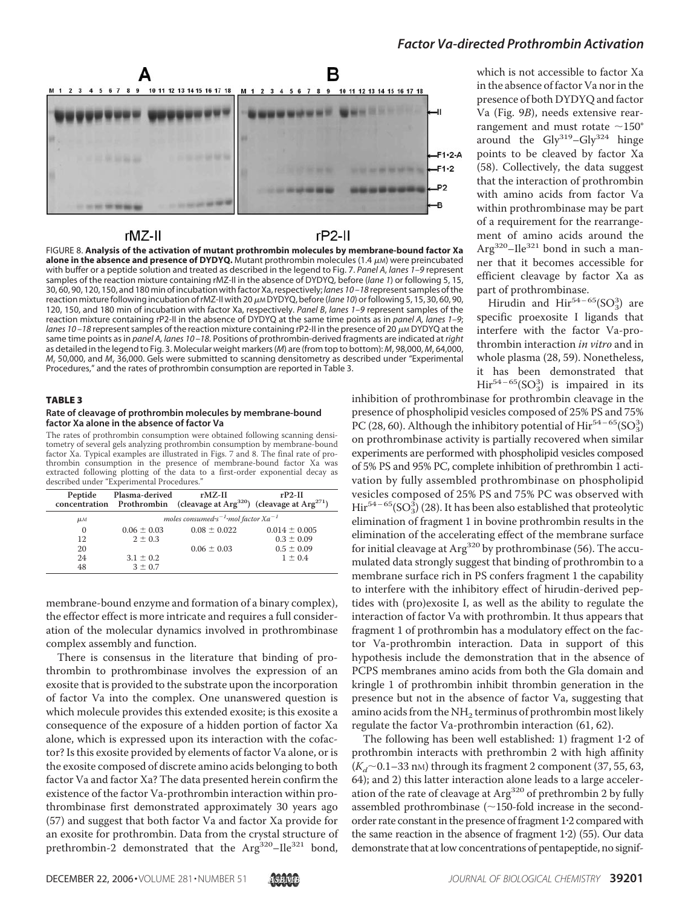

## rMZ-II

 $rP2-11$ 

FIGURE 8. **Analysis of the activation of mutant prothrombin molecules by membrane-bound factor Xa alone in the absence and presence of DYDYQ.** Mutant prothrombin molecules (1.4  $\mu$ m) were preincubated with buffer or a peptide solution and treated as described in the legend to Fig. 7. *Panel A*, *lanes 1–9* represent samples of the reaction mixture containing rMZ-II in the absence of DYDYQ, before (*lane 1*) or following 5, 15, 30, 60, 90, 120, 150, and 180 min of incubation withfactor Xa, respectively; *lanes 10 –18* represent samples of the reaction mixture following incubation of rMZ-II with 20 μm DYDYQ, before (*lane 10*) or following 5, 15, 30, 60, 90, 120, 150, and 180 min of incubation with factor Xa, respectively. *Panel B*, *lanes 1–9* represent samples of the reaction mixture containing rP2-II in the absence of DYDYQ at the same time points as in *panel A, lanes 1–9*; lanes 10–18 represent samples of the reaction mixture containing rP2-II in the presence of 20  $\mu$ M DYDYQ at the same time points as in *panel A, lanes 10 –18.* Positions of prothrombin-derived fragments are indicated at *right* as detailed in the legend to Fig. 3. Molecular weight markers (*M*) are (from top to bottom): *M*<sup>r</sup> 98,000, *M*<sup>r</sup> 64,000, *M*<sup>r</sup> 50,000, and *M*<sup>r</sup> 36,000. Gels were submitted to scanning densitometry as described under "Experimental Procedures," and the rates of prothrombin consumption are reported in Table 3.

#### TABLE 3

#### **Rate of cleavage of prothrombin molecules by membrane-bound factor Xa alone in the absence of factor Va**

The rates of prothrombin consumption were obtained following scanning densitometry of several gels analyzing prothrombin consumption by membrane-bound factor Xa. Typical examples are illustrated in Figs. 7 and 8. The final rate of prothrombin consumption in the presence of membrane-bound factor Xa was extracted following plotting of the data to a first-order exponential decay as described under "Experimental Procedures."

| Peptide            | Plasma-derived  | $rMZ-II$<br>concentration Prothrombin (cleavage at Arg <sup>320</sup> ) (cleavage at Arg <sup>271</sup> ) | $rP2-II$          |
|--------------------|-----------------|-----------------------------------------------------------------------------------------------------------|-------------------|
| $\mu$ <sub>M</sub> |                 | moles consumed $s^{-1}$ mol factor $Xa^{-1}$                                                              |                   |
| $\Omega$           | $0.06 \pm 0.03$ | $0.08 \pm 0.022$                                                                                          | $0.014 \pm 0.005$ |
| 12                 | $2 \pm 0.3$     |                                                                                                           | $0.3 \pm 0.09$    |
| 20                 |                 | $0.06 \pm 0.03$                                                                                           | $0.5 \pm 0.09$    |
| 24                 | $3.1 \pm 0.2$   |                                                                                                           | $1 \pm 0.4$       |
| 48                 | $3 \pm 0.7$     |                                                                                                           |                   |

membrane-bound enzyme and formation of a binary complex), the effector effect is more intricate and requires a full consideration of the molecular dynamics involved in prothrombinase complex assembly and function.

There is consensus in the literature that binding of prothrombin to prothrombinase involves the expression of an exosite that is provided to the substrate upon the incorporation of factor Va into the complex. One unanswered question is which molecule provides this extended exosite; is this exosite a consequence of the exposure of a hidden portion of factor Xa alone, which is expressed upon its interaction with the cofactor? Is this exosite provided by elements of factor Va alone, or is the exosite composed of discrete amino acids belonging to both factor Va and factor Xa? The data presented herein confirm the existence of the factor Va-prothrombin interaction within prothrombinase first demonstrated approximately 30 years ago (57) and suggest that both factor Va and factor Xa provide for an exosite for prothrombin. Data from the crystal structure of prethrombin-2 demonstrated that the Arg<sup>320</sup>-Ile<sup>321</sup> bond,

which is not accessible to factor Xa in the absence of factor Va nor in the presence of both DYDYQ and factor Va (Fig. 9*B*), needs extensive rearrangement and must rotate  $\sim$ 150° around the  $\text{Gly}^{319} - \text{Gly}^{324}$  hinge points to be cleaved by factor Xa (58). Collectively, the data suggest that the interaction of prothrombin with amino acids from factor Va within prothrombinase may be part of a requirement for the rearrangement of amino acids around the  $Arg<sup>320</sup> - Ile<sup>321</sup>$  bond in such a manner that it becomes accessible for efficient cleavage by factor Xa as part of prothrombinase.

Hirudin and  $\text{Hir}^{54-65}(\text{SO}_3^3)$  are specific proexosite I ligands that interfere with the factor Va-prothrombin interaction *in vitro* and in whole plasma (28, 59). Nonetheless, it has been demonstrated that  $\text{Hir}^{54-65}(\text{SO}_3^3)$  is impaired in its

inhibition of prothrombinase for prothrombin cleavage in the presence of phospholipid vesicles composed of 25% PS and 75% PC (28, 60). Although the inhibitory potential of  $\mathrm{Hir}^{54-65}(\mathrm{SO}_3^3)$ on prothrombinase activity is partially recovered when similar experiments are performed with phospholipid vesicles composed of 5% PS and 95% PC, complete inhibition of prethrombin 1 activation by fully assembled prothrombinase on phospholipid vesicles composed of 25% PS and 75% PC was observed with  $\mathrm{Hir}^{54-65}(\mathrm{SO}_3^3)$  (28). It has been also established that proteolytic elimination of fragment 1 in bovine prothrombin results in the elimination of the accelerating effect of the membrane surface for initial cleavage at  $Arg^{320}$  by prothrombinase (56). The accumulated data strongly suggest that binding of prothrombin to a membrane surface rich in PS confers fragment 1 the capability to interfere with the inhibitory effect of hirudin-derived peptides with (pro)exosite I, as well as the ability to regulate the interaction of factor Va with prothrombin. It thus appears that fragment 1 of prothrombin has a modulatory effect on the factor Va-prothrombin interaction. Data in support of this hypothesis include the demonstration that in the absence of PCPS membranes amino acids from both the Gla domain and kringle 1 of prothrombin inhibit thrombin generation in the presence but not in the absence of factor Va, suggesting that amino acids from the  $NH<sub>2</sub>$  terminus of prothrombin most likely regulate the factor Va-prothrombin interaction (61, 62).

The following has been well established: 1) fragment  $1.2$  of prothrombin interacts with prethrombin 2 with high affinity  $(K_d \sim 0.1-33$  nm) through its fragment 2 component (37, 55, 63, 64); and 2) this latter interaction alone leads to a large acceleration of the rate of cleavage at Arg<sup>320</sup> of prethrombin 2 by fully assembled prothrombinase  $(\sim 150$ -fold increase in the secondorder rate constant in the presence of fragment 12 compared with the same reaction in the absence of fragment  $1.2$ ) (55). Our data demonstrate that at low concentrations of pentapeptide, no signif-

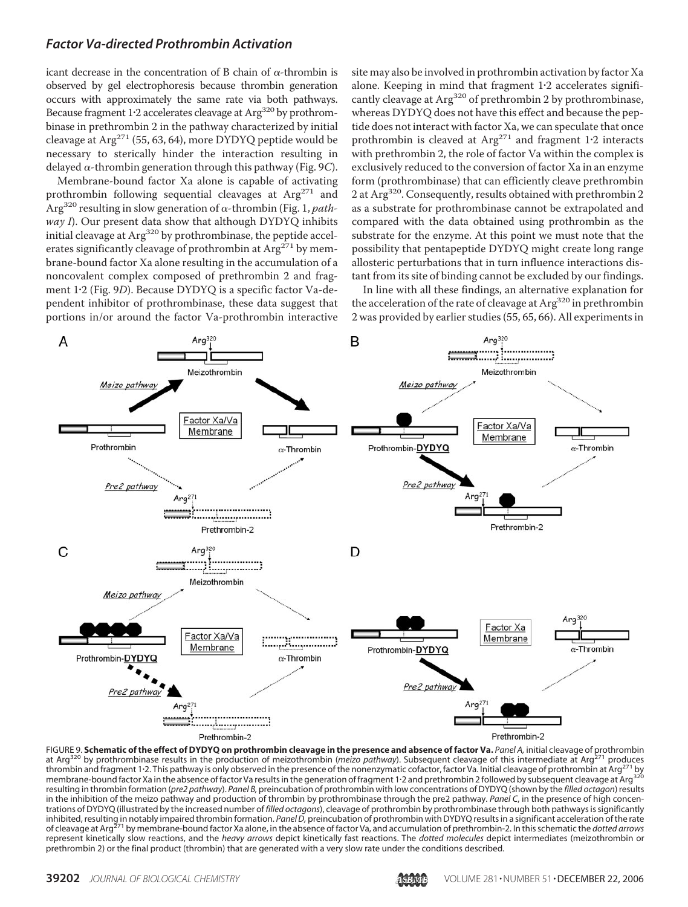icant decrease in the concentration of B chain of  $\alpha$ -thrombin is observed by gel electrophoresis because thrombin generation occurs with approximately the same rate via both pathways. Because fragment  $1.2$  accelerates cleavage at Arg<sup>320</sup> by prothrombinase in prethrombin 2 in the pathway characterized by initial cleavage at  $Arg^{271}$  (55, 63, 64), more DYDYQ peptide would be necessary to sterically hinder the interaction resulting in delayed  $\alpha$ -thrombin generation through this pathway (Fig. 9C).

Membrane-bound factor Xa alone is capable of activating prothrombin following sequential cleavages at  $Arg^{271}$  and Arg<sup>320</sup> resulting in slow generation of  $\alpha$ -thrombin (Fig. 1, *pathway I*). Our present data show that although DYDYQ inhibits initial cleavage at Arg<sup>320</sup> by prothrombinase, the peptide accelerates significantly cleavage of prothrombin at  $Arg<sup>271</sup>$  by membrane-bound factor Xa alone resulting in the accumulation of a noncovalent complex composed of prethrombin 2 and fragment 12 (Fig. 9*D*). Because DYDYQ is a specific factor Va-dependent inhibitor of prothrombinase, these data suggest that portions in/or around the factor Va-prothrombin interactive site may also be involved in prothrombin activation by factor Xa alone. Keeping in mind that fragment 12 accelerates significantly cleavage at Arg<sup>320</sup> of prethrombin 2 by prothrombinase, whereas DYDYQ does not have this effect and because the peptide does not interact with factor Xa, we can speculate that once prothrombin is cleaved at  $Arg^{271}$  and fragment 1.2 interacts with prethrombin 2, the role of factor Va within the complex is exclusively reduced to the conversion of factor Xa in an enzyme form (prothrombinase) that can efficiently cleave prethrombin 2 at Arg<sup>320</sup>. Consequently, results obtained with prethrombin 2 as a substrate for prothrombinase cannot be extrapolated and compared with the data obtained using prothrombin as the substrate for the enzyme. At this point we must note that the possibility that pentapeptide DYDYQ might create long range allosteric perturbations that in turn influence interactions distant from its site of binding cannot be excluded by our findings.

In line with all these findings, an alternative explanation for the acceleration of the rate of cleavage at  $Arg<sup>320</sup>$  in prethrombin 2 was provided by earlier studies (55, 65, 66). All experiments in



FIGURE 9. **Schematic of the effect of DYDYQ on prothrombin cleavage in the presence and absence of factor Va.** *Panel A,* initial cleavage of prothrombin at Arg<sup>320</sup> by prothrombinase results in the production of meizothrombin (*meizo pathway*). Subsequent cleavage of this intermediate at Arg<sup>271</sup> produces thrombin and fragment 1.2. This pathway is only observed in the pres thrombin and fragment 1-2. This pathway is only observed in the presence of the nonenzymatic cofactor, factor Va. Initial cleavage of prothrombin at Arg<sup>271</sup> by membrane-bound factor Xa in the absence of factor Va results in the generation of fragment 1-2 and prethrombin 2 followed by subsequent cleavage at Arg<sup>320</sup> resulting in thrombin formation (*pre2 pathway*). *Panel B,* preincubation of prothrombin with low concentrations of DYDYQ (shown by the *filled octagon*) results in the inhibition of the meizo pathway and production of thrombin by prothrombinase through the pre2 pathway. Panel C, in the presence of high concentrations of DYDYQ (illustrated by the increased number of *filled octagons*), cleavage of prothrombin by prothrombinase through both pathways is significantly inhibited, resulting in notably impaired thrombin formation. *Panel D,* preincubation of prothrombin with DYDYQ results in a significant acceleration of the rate<br>of cleavage at Arg<sup>271</sup> by membrane-bound factor Xa alone, i represent kinetically slow reactions, and the *heavy arrows* depict kinetically fast reactions. The *dotted molecules* depict intermediates (meizothrombin or prethrombin 2) or the final product (thrombin) that are generated with a very slow rate under the conditions described.

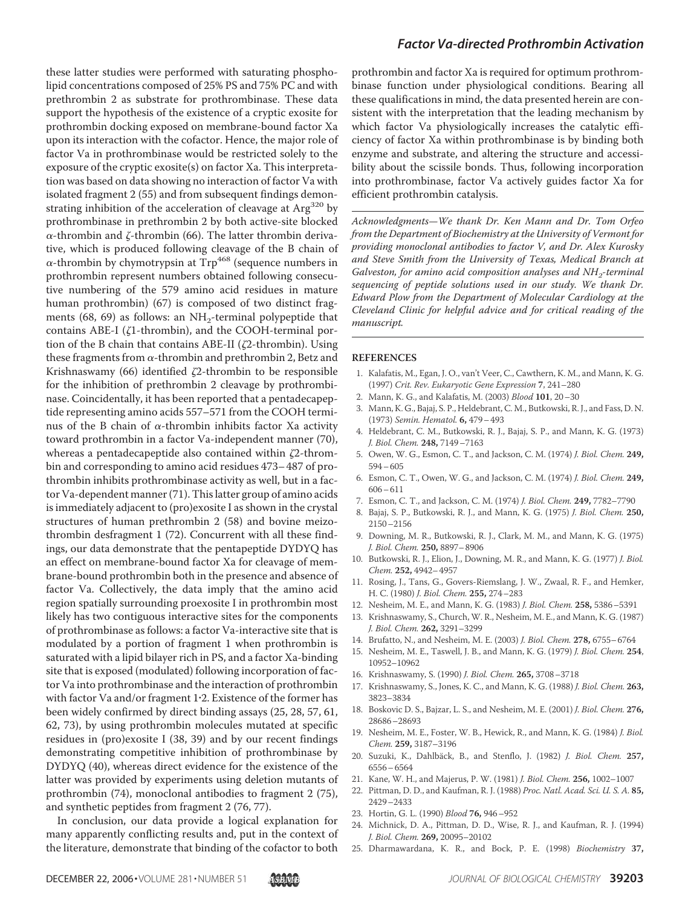these latter studies were performed with saturating phospholipid concentrations composed of 25% PS and 75% PC and with prethrombin 2 as substrate for prothrombinase. These data support the hypothesis of the existence of a cryptic exosite for prothrombin docking exposed on membrane-bound factor Xa upon its interaction with the cofactor. Hence, the major role of factor Va in prothrombinase would be restricted solely to the exposure of the cryptic exosite(s) on factor Xa. This interpretation was based on data showing no interaction of factor Va with isolated fragment 2 (55) and from subsequent findings demonstrating inhibition of the acceleration of cleavage at  $Arg<sup>320</sup>$  by prothrombinase in prethrombin 2 by both active-site blocked  $\alpha$ -thrombin and  $\zeta$ -thrombin (66). The latter thrombin derivative, which is produced following cleavage of the B chain of  $\alpha$ -thrombin by chymotrypsin at  $Trp^{468}$  (sequence numbers in prothrombin represent numbers obtained following consecutive numbering of the 579 amino acid residues in mature human prothrombin) (67) is composed of two distinct fragments (68, 69) as follows: an NH<sub>2</sub>-terminal polypeptide that contains ABE-I ( $\zeta$ 1-thrombin), and the COOH-terminal portion of the B chain that contains ABE-II ( $\zeta$ 2-thrombin). Using these fragments from  $\alpha$ -thrombin and prethrombin 2, Betz and Krishnaswamy  $(66)$  identified  $\zeta$ 2-thrombin to be responsible for the inhibition of prethrombin 2 cleavage by prothrombinase. Coincidentally, it has been reported that a pentadecapeptide representing amino acids 557–571 from the COOH terminus of the B chain of  $\alpha$ -thrombin inhibits factor Xa activity toward prothrombin in a factor Va-independent manner (70), whereas a pentadecapeptide also contained within  $\zeta$ 2-thrombin and corresponding to amino acid residues 473– 487 of prothrombin inhibits prothrombinase activity as well, but in a factor Va-dependent manner (71). This latter group of amino acids is immediately adjacent to (pro)exosite I as shown in the crystal structures of human prethrombin 2 (58) and bovine meizothrombin desfragment 1 (72). Concurrent with all these findings, our data demonstrate that the pentapeptide DYDYQ has an effect on membrane-bound factor Xa for cleavage of membrane-bound prothrombin both in the presence and absence of factor Va. Collectively, the data imply that the amino acid region spatially surrounding proexosite I in prothrombin most likely has two contiguous interactive sites for the components of prothrombinase as follows: a factor Va-interactive site that is modulated by a portion of fragment 1 when prothrombin is saturated with a lipid bilayer rich in PS, and a factor Xa-binding site that is exposed (modulated) following incorporation of factor Va into prothrombinase and the interaction of prothrombin with factor Va and/or fragment 1.2. Existence of the former has been widely confirmed by direct binding assays (25, 28, 57, 61, 62, 73), by using prothrombin molecules mutated at specific residues in (pro)exosite I (38, 39) and by our recent findings demonstrating competitive inhibition of prothrombinase by DYDYQ (40), whereas direct evidence for the existence of the latter was provided by experiments using deletion mutants of prothrombin (74), monoclonal antibodies to fragment 2 (75), and synthetic peptides from fragment 2 (76, 77).

In conclusion, our data provide a logical explanation for many apparently conflicting results and, put in the context of the literature, demonstrate that binding of the cofactor to both

prothrombin and factor Xa is required for optimum prothrombinase function under physiological conditions. Bearing all these qualifications in mind, the data presented herein are consistent with the interpretation that the leading mechanism by which factor Va physiologically increases the catalytic efficiency of factor Xa within prothrombinase is by binding both enzyme and substrate, and altering the structure and accessibility about the scissile bonds. Thus, following incorporation into prothrombinase, factor Va actively guides factor Xa for efficient prothrombin catalysis.

*Acknowledgments—We thank Dr. Ken Mann and Dr. Tom Orfeo from the Department of Biochemistry at the University of Vermont for providing monoclonal antibodies to factor V, and Dr. Alex Kurosky and Steve Smith from the University of Texas, Medical Branch at* Galveston, for amino acid composition analyses and NH<sub>2</sub>-terminal *sequencing of peptide solutions used in our study. We thank Dr. Edward Plow from the Department of Molecular Cardiology at the Cleveland Clinic for helpful advice and for critical reading of the manuscript.*

#### **REFERENCES**

- 1. Kalafatis, M., Egan, J. O., van't Veer, C., Cawthern, K. M., and Mann, K. G. (1997) *Crit. Rev. Eukaryotic Gene Expression* **7**, 241–280
- 2. Mann, K. G., and Kalafatis, M. (2003) *Blood* **101**, 20–30
- 3. Mann, K. G., Bajaj, S. P., Heldebrant, C. M., Butkowski, R. J., and Fass, D. N. (1973) *Semin. Hematol.* **6,** 479–493
- 4. Heldebrant, C. M., Butkowski, R. J., Bajaj, S. P., and Mann, K. G. (1973) *J. Biol. Chem.* **248,** 7149–7163
- 5. Owen, W. G., Esmon, C. T., and Jackson, C. M. (1974) *J. Biol. Chem.* **249,** 594–605
- 6. Esmon, C. T., Owen, W. G., and Jackson, C. M. (1974) *J. Biol. Chem.* **249,** 606–611
- 7. Esmon, C. T., and Jackson, C. M. (1974) *J. Biol. Chem.* **249,** 7782–7790
- 8. Bajaj, S. P., Butkowski, R. J., and Mann, K. G. (1975) *J. Biol. Chem.* **250,** 2150–2156
- 9. Downing, M. R., Butkowski, R. J., Clark, M. M., and Mann, K. G. (1975) *J. Biol. Chem.* **250,** 8897–8906
- 10. Butkowski, R. J., Elion, J., Downing, M. R., and Mann, K. G. (1977) *J. Biol. Chem.* **252,** 4942–4957
- 11. Rosing, J., Tans, G., Govers-Riemslang, J. W., Zwaal, R. F., and Hemker, H. C. (1980) *J. Biol. Chem.* **255,** 274–283
- 12. Nesheim, M. E., and Mann, K. G. (1983) *J. Biol. Chem.* **258,** 5386–5391
- 13. Krishnaswamy, S., Church, W. R., Nesheim, M. E., and Mann, K. G. (1987) *J. Biol. Chem.* **262,** 3291–3299
- 14. Brufatto, N., and Nesheim, M. E. (2003) *J. Biol. Chem.* **278,** 6755–6764
- 15. Nesheim, M. E., Taswell, J. B., and Mann, K. G. (1979) *J. Biol. Chem.* **254**, 10952–10962
- 16. Krishnaswamy, S. (1990) *J. Biol. Chem.* **265,** 3708–3718
- 17. Krishnaswamy, S., Jones, K. C., and Mann, K. G. (1988) *J. Biol. Chem.* **263,** 3823–3834
- 18. Boskovic D. S., Bajzar, L. S., and Nesheim, M. E. (2001) *J. Biol. Chem.* **276,** 28686–28693
- 19. Nesheim, M. E., Foster, W. B., Hewick, R., and Mann, K. G. (1984) *J. Biol. Chem.* **259,** 3187–3196
- 20. Suzuki, K., Dahlbäck, B., and Stenflo, J. (1982) *J. Biol. Chem.* 257, 6556–6564
- 21. Kane, W. H., and Majerus, P. W. (1981) *J. Biol. Chem.* **256,** 1002–1007
- 22. Pittman, D. D., and Kaufman, R. J. (1988) *Proc. Natl. Acad. Sci. U. S. A.* **85,** 2429–2433
- 23. Hortin, G. L. (1990) *Blood* **76,** 946–952
- 24. Michnick, D. A., Pittman, D. D., Wise, R. J., and Kaufman, R. J. (1994) *J. Biol. Chem.* **269,** 20095–20102
- 25. Dharmawardana, K. R., and Bock, P. E. (1998) *Biochemistry* **37,**